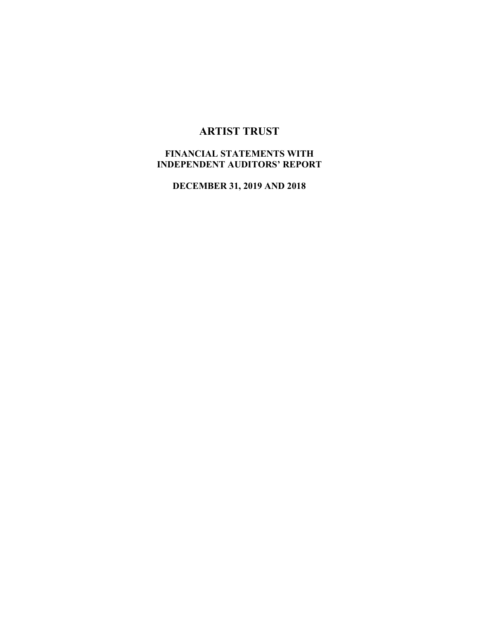# **ARTIST TRUST**

## **FINANCIAL STATEMENTS WITH INDEPENDENT AUDITORS' REPORT**

**DECEMBER 31, 2019 AND 2018**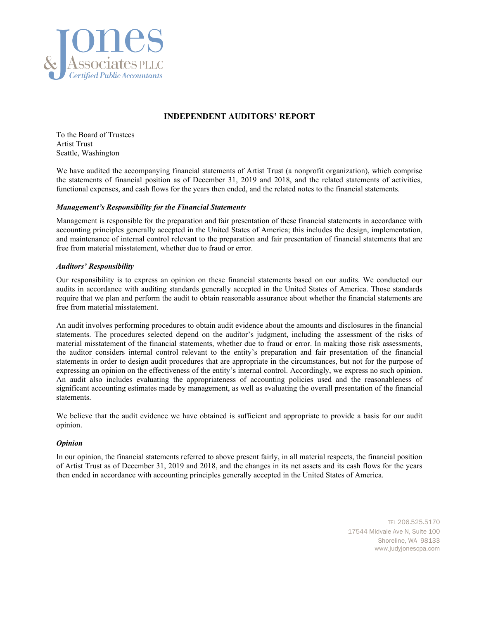

#### **INDEPENDENT AUDITORS' REPORT**

To the Board of Trustees Artist Trust Seattle, Washington

We have audited the accompanying financial statements of Artist Trust (a nonprofit organization), which comprise the statements of financial position as of December 31, 2019 and 2018, and the related statements of activities, functional expenses, and cash flows for the years then ended, and the related notes to the financial statements.

#### *Management's Responsibility for the Financial Statements*

Management is responsible for the preparation and fair presentation of these financial statements in accordance with accounting principles generally accepted in the United States of America; this includes the design, implementation, and maintenance of internal control relevant to the preparation and fair presentation of financial statements that are free from material misstatement, whether due to fraud or error.

#### *Auditors' Responsibility*

Our responsibility is to express an opinion on these financial statements based on our audits. We conducted our audits in accordance with auditing standards generally accepted in the United States of America. Those standards require that we plan and perform the audit to obtain reasonable assurance about whether the financial statements are free from material misstatement.

An audit involves performing procedures to obtain audit evidence about the amounts and disclosures in the financial statements. The procedures selected depend on the auditor's judgment, including the assessment of the risks of material misstatement of the financial statements, whether due to fraud or error. In making those risk assessments, the auditor considers internal control relevant to the entity's preparation and fair presentation of the financial statements in order to design audit procedures that are appropriate in the circumstances, but not for the purpose of expressing an opinion on the effectiveness of the entity's internal control. Accordingly, we express no such opinion. An audit also includes evaluating the appropriateness of accounting policies used and the reasonableness of significant accounting estimates made by management, as well as evaluating the overall presentation of the financial statements.

We believe that the audit evidence we have obtained is sufficient and appropriate to provide a basis for our audit opinion.

#### *Opinion*

In our opinion, the financial statements referred to above present fairly, in all material respects, the financial position of Artist Trust as of December 31, 2019 and 2018, and the changes in its net assets and its cash flows for the years then ended in accordance with accounting principles generally accepted in the United States of America.

> TEL 206.525.5170 17544 Midvale Ave N, Suite 100 Shoreline, WA 98133 www.judyjonescpa.com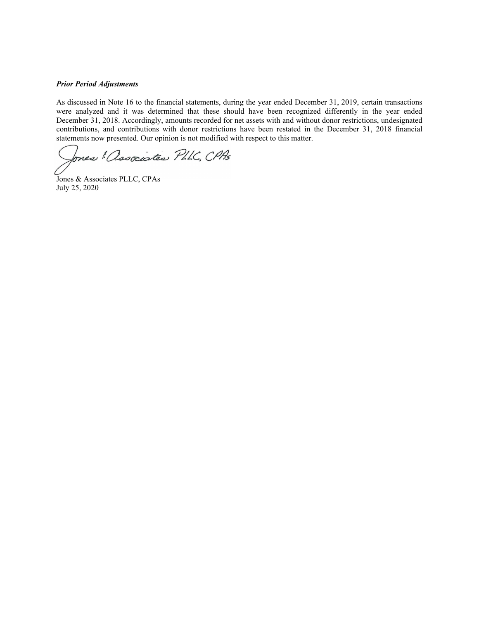#### *Prior Period Adjustments*

As discussed in Note 16 to the financial statements, during the year ended December 31, 2019, certain transactions were analyzed and it was determined that these should have been recognized differently in the year ended December 31, 2018. Accordingly, amounts recorded for net assets with and without donor restrictions, undesignated contributions, and contributions with donor restrictions have been restated in the December 31, 2018 financial statements now presented. Our opinion is not modified with respect to this matter.

Jones ! Associates PLLC, CPAs

Jones & Associates PLLC, CPAs July 25, 2020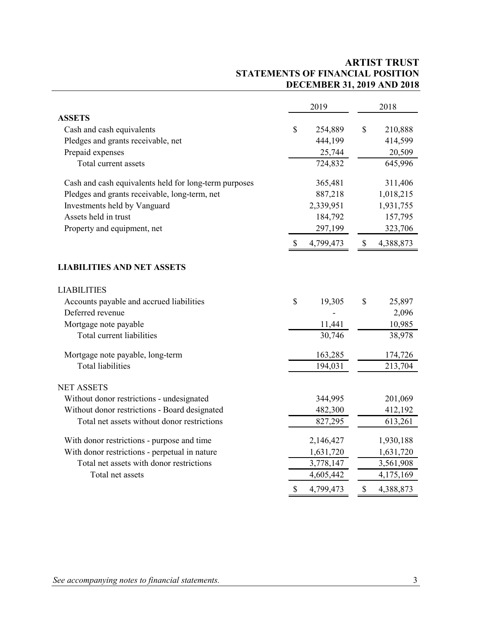### **ARTIST TRUST STATEMENTS OF FINANCIAL POSITION DECEMBER 31, 2019 AND 2018**

|                                                       |                           | 2019      | 2018            |
|-------------------------------------------------------|---------------------------|-----------|-----------------|
| <b>ASSETS</b>                                         |                           |           |                 |
| Cash and cash equivalents                             | \$                        | 254,889   | \$<br>210,888   |
| Pledges and grants receivable, net                    |                           | 444,199   | 414,599         |
| Prepaid expenses                                      |                           | 25,744    | 20,509          |
| Total current assets                                  |                           | 724,832   | 645,996         |
| Cash and cash equivalents held for long-term purposes |                           | 365,481   | 311,406         |
| Pledges and grants receivable, long-term, net         |                           | 887,218   | 1,018,215       |
| Investments held by Vanguard                          |                           | 2,339,951 | 1,931,755       |
| Assets held in trust                                  |                           | 184,792   | 157,795         |
| Property and equipment, net                           |                           | 297,199   | 323,706         |
|                                                       | $\boldsymbol{\mathsf{S}}$ | 4,799,473 | \$<br>4,388,873 |
| <b>LIABILITIES AND NET ASSETS</b>                     |                           |           |                 |
| <b>LIABILITIES</b>                                    |                           |           |                 |
| Accounts payable and accrued liabilities              | \$                        | 19,305    | \$<br>25,897    |
| Deferred revenue                                      |                           |           | 2,096           |
| Mortgage note payable                                 |                           | 11,441    | 10,985          |
| <b>Total current liabilities</b>                      |                           | 30,746    | 38,978          |
| Mortgage note payable, long-term                      |                           | 163,285   | 174,726         |
| <b>Total liabilities</b>                              |                           | 194,031   | 213,704         |
| <b>NET ASSETS</b>                                     |                           |           |                 |
| Without donor restrictions - undesignated             |                           | 344,995   | 201,069         |
| Without donor restrictions - Board designated         |                           | 482,300   | 412,192         |
| Total net assets without donor restrictions           |                           | 827,295   | 613,261         |
| With donor restrictions - purpose and time            |                           | 2,146,427 | 1,930,188       |
| With donor restrictions - perpetual in nature         |                           | 1,631,720 | 1,631,720       |
| Total net assets with donor restrictions              |                           | 3,778,147 | 3,561,908       |
| Total net assets                                      |                           | 4,605,442 | 4,175,169       |
|                                                       | \$                        | 4,799,473 | \$<br>4,388,873 |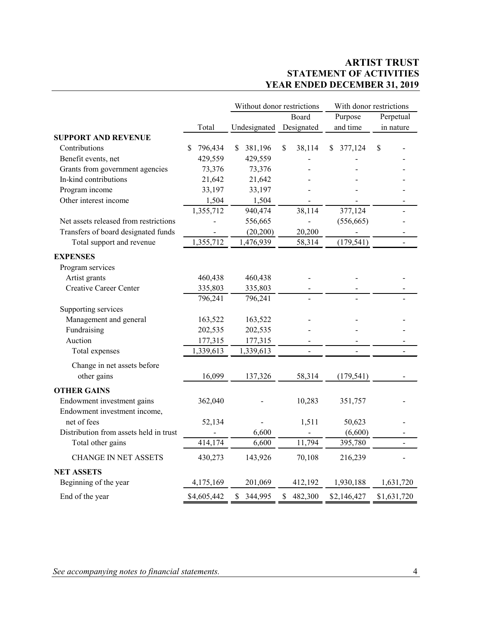## **ARTIST TRUST STATEMENT OF ACTIVITIES YEAR ENDED DECEMBER 31, 2019**

|                                        |               | Without donor restrictions |              |              |                          |    | With donor restrictions |    |                          |
|----------------------------------------|---------------|----------------------------|--------------|--------------|--------------------------|----|-------------------------|----|--------------------------|
|                                        |               |                            |              |              | Board                    |    | Purpose                 |    | Perpetual                |
|                                        | Total         |                            | Undesignated |              | Designated               |    | and time                |    | in nature                |
| <b>SUPPORT AND REVENUE</b>             |               |                            |              |              |                          |    |                         |    |                          |
| Contributions                          | \$<br>796,434 | \$                         | 381,196      | $\mathbb{S}$ | 38,114                   | S. | 377,124                 | \$ |                          |
| Benefit events, net                    | 429,559       |                            | 429,559      |              |                          |    |                         |    |                          |
| Grants from government agencies        | 73,376        |                            | 73,376       |              |                          |    |                         |    |                          |
| In-kind contributions                  | 21,642        |                            | 21,642       |              |                          |    |                         |    |                          |
| Program income                         | 33,197        |                            | 33,197       |              |                          |    |                         |    |                          |
| Other interest income                  | 1,504         |                            | 1,504        |              | $\overline{\phantom{a}}$ |    |                         |    | $\overline{a}$           |
|                                        | 1,355,712     |                            | 940,474      |              | 38,114                   |    | 377,124                 |    |                          |
| Net assets released from restrictions  |               |                            | 556,665      |              |                          |    | (556, 665)              |    |                          |
| Transfers of board designated funds    |               |                            | (20, 200)    |              | 20,200                   |    |                         |    | $\overline{\phantom{0}}$ |
| Total support and revenue              | 1,355,712     |                            | 1,476,939    |              | 58,314                   |    | (179, 541)              |    | $\overline{\phantom{0}}$ |
| <b>EXPENSES</b>                        |               |                            |              |              |                          |    |                         |    |                          |
| Program services                       |               |                            |              |              |                          |    |                         |    |                          |
| Artist grants                          | 460,438       |                            | 460,438      |              |                          |    |                         |    |                          |
| <b>Creative Career Center</b>          | 335,803       |                            | 335,803      |              |                          |    |                         |    |                          |
|                                        | 796,241       |                            | 796,241      |              |                          |    |                         |    |                          |
| Supporting services                    |               |                            |              |              |                          |    |                         |    |                          |
| Management and general                 | 163,522       |                            | 163,522      |              |                          |    |                         |    |                          |
| Fundraising                            | 202,535       |                            | 202,535      |              |                          |    |                         |    |                          |
| Auction                                | 177,315       |                            | 177,315      |              |                          |    |                         |    |                          |
| Total expenses                         | 1,339,613     |                            | 1,339,613    |              |                          |    |                         |    |                          |
| Change in net assets before            |               |                            |              |              |                          |    |                         |    |                          |
| other gains                            | 16,099        |                            | 137,326      |              | 58,314                   |    | (179, 541)              |    |                          |
| <b>OTHER GAINS</b>                     |               |                            |              |              |                          |    |                         |    |                          |
| Endowment investment gains             | 362,040       |                            |              |              | 10,283                   |    | 351,757                 |    |                          |
| Endowment investment income,           |               |                            |              |              |                          |    |                         |    |                          |
| net of fees                            | 52,134        |                            |              |              | 1,511                    |    | 50,623                  |    |                          |
| Distribution from assets held in trust |               |                            | 6,600        |              |                          |    | (6,600)                 |    |                          |
| Total other gains                      | 414,174       |                            | 6,600        |              | 11,794                   |    | 395,780                 |    |                          |
|                                        |               |                            |              |              |                          |    |                         |    |                          |
| <b>CHANGE IN NET ASSETS</b>            | 430,273       |                            | 143,926      |              | 70,108                   |    | 216,239                 |    |                          |
| <b>NET ASSETS</b>                      |               |                            |              |              |                          |    |                         |    |                          |
| Beginning of the year                  | 4,175,169     |                            | 201,069      |              | 412,192                  |    | 1,930,188               |    | 1,631,720                |
| End of the year                        | \$4,605,442   | $\mathcal{S}$              | 344,995      | $\mathbb{S}$ | 482,300                  |    | \$2,146,427             |    | \$1,631,720              |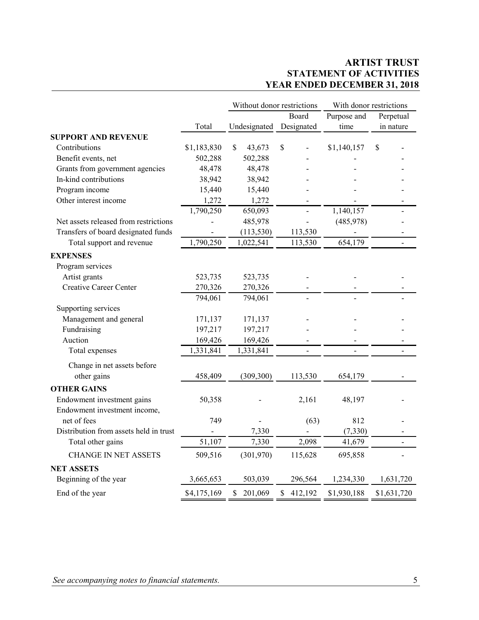## **ARTIST TRUST STATEMENT OF ACTIVITIES YEAR ENDED DECEMBER 31, 2018**

|                                        |             | Without donor restrictions |               | With donor restrictions |              |  |
|----------------------------------------|-------------|----------------------------|---------------|-------------------------|--------------|--|
|                                        |             |                            | Board         | Purpose and             | Perpetual    |  |
|                                        | Total       | Undesignated               | Designated    | time                    | in nature    |  |
| <b>SUPPORT AND REVENUE</b>             |             |                            |               |                         |              |  |
| Contributions                          | \$1,183,830 | \$<br>43,673               | $\mathbb{S}$  | \$1,140,157             | $\mathbb{S}$ |  |
| Benefit events, net                    | 502,288     | 502,288                    |               |                         |              |  |
| Grants from government agencies        | 48,478      | 48,478                     |               |                         |              |  |
| In-kind contributions                  | 38,942      | 38,942                     |               |                         |              |  |
| Program income                         | 15,440      | 15,440                     |               |                         |              |  |
| Other interest income                  | 1,272       | 1,272                      |               |                         |              |  |
|                                        | 1,790,250   | 650,093                    |               | 1,140,157               |              |  |
| Net assets released from restrictions  |             | 485,978                    |               | (485, 978)              |              |  |
| Transfers of board designated funds    |             | (113, 530)                 | 113,530       |                         |              |  |
| Total support and revenue              | 1,790,250   | 1,022,541                  | 113,530       | 654,179                 |              |  |
| <b>EXPENSES</b>                        |             |                            |               |                         |              |  |
| Program services                       |             |                            |               |                         |              |  |
| Artist grants                          | 523,735     | 523,735                    |               |                         |              |  |
| <b>Creative Career Center</b>          | 270,326     | 270,326                    |               |                         |              |  |
|                                        | 794,061     | 794,061                    |               |                         |              |  |
| Supporting services                    |             |                            |               |                         |              |  |
| Management and general                 | 171,137     | 171,137                    |               |                         |              |  |
| Fundraising                            | 197,217     | 197,217                    |               |                         |              |  |
| Auction                                | 169,426     | 169,426                    |               |                         |              |  |
| Total expenses                         | 1,331,841   | 1,331,841                  |               |                         |              |  |
| Change in net assets before            |             |                            |               |                         |              |  |
| other gains                            | 458,409     | (309, 300)                 | 113,530       | 654,179                 |              |  |
| <b>OTHER GAINS</b>                     |             |                            |               |                         |              |  |
| Endowment investment gains             | 50,358      |                            | 2,161         | 48,197                  |              |  |
| Endowment investment income,           |             |                            |               |                         |              |  |
| net of fees                            | 749         |                            | (63)          | 812                     |              |  |
| Distribution from assets held in trust |             | 7,330                      |               | (7, 330)                |              |  |
| Total other gains                      | 51,107      | 7,330                      | 2,098         | 41,679                  |              |  |
| <b>CHANGE IN NET ASSETS</b>            | 509,516     | (301,970)                  | 115,628       | 695,858                 |              |  |
| <b>NET ASSETS</b>                      |             |                            |               |                         |              |  |
| Beginning of the year                  | 3,665,653   | 503,039                    | 296,564       | 1,234,330               | 1,631,720    |  |
| End of the year                        | \$4,175,169 | \$<br>201,069              | 412,192<br>\$ | \$1,930,188             | \$1,631,720  |  |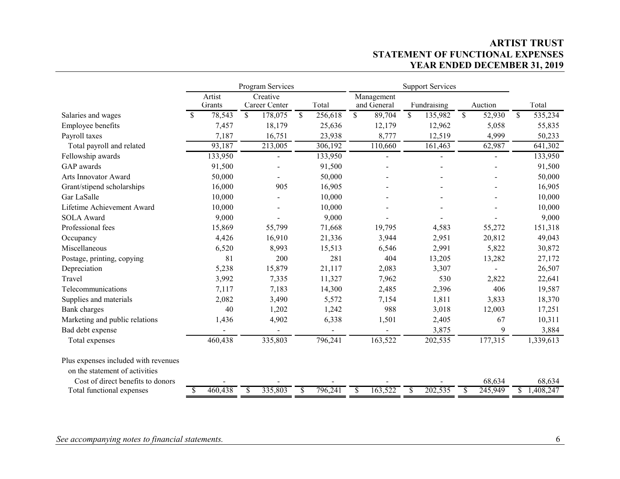### **ARTIST TRUST STATEMENT OF FUNCTIONAL EXPENSES YEAR ENDED DECEMBER 31, 2019**

|                                      |              |         |                          | Program Services |                          |         | <b>Support Services</b>  |             |                          |             |                          |         |              |             |
|--------------------------------------|--------------|---------|--------------------------|------------------|--------------------------|---------|--------------------------|-------------|--------------------------|-------------|--------------------------|---------|--------------|-------------|
|                                      |              | Artist  |                          | Creative         |                          |         |                          | Management  |                          |             |                          |         |              |             |
|                                      |              | Grants  |                          | Career Center    |                          | Total   |                          | and General |                          | Fundraising |                          | Auction |              | Total       |
| Salaries and wages                   | $\mathbb{S}$ | 78,543  | $\mathbb{S}$             | 178,075          | $\mathcal{S}$            | 256,618 | \$                       | 89,704      | $\mathsf{\$}$            | 135,982     | $\overline{\mathcal{S}}$ | 52,930  | $\mathbb{S}$ | 535,234     |
| Employee benefits                    |              | 7,457   |                          | 18,179           |                          | 25,636  |                          | 12,179      |                          | 12,962      |                          | 5,058   |              | 55,835      |
| Payroll taxes                        |              | 7,187   |                          | 16,751           |                          | 23,938  |                          | 8,777       |                          | 12,519      |                          | 4,999   |              | 50,233      |
| Total payroll and related            |              | 93,187  |                          | 213,005          |                          | 306,192 |                          | 110,660     |                          | 161,463     |                          | 62,987  |              | 641,302     |
| Fellowship awards                    |              | 133,950 |                          |                  |                          | 133,950 |                          |             |                          |             |                          |         |              | 133,950     |
| GAP awards                           |              | 91,500  |                          |                  |                          | 91,500  |                          |             |                          |             |                          |         |              | 91,500      |
| Arts Innovator Award                 |              | 50,000  |                          |                  |                          | 50,000  |                          |             |                          |             |                          |         |              | 50,000      |
| Grant/stipend scholarships           |              | 16,000  |                          | 905              |                          | 16,905  |                          |             |                          |             |                          |         |              | 16,905      |
| Gar LaSalle                          |              | 10,000  |                          |                  |                          | 10,000  |                          |             |                          |             |                          |         |              | 10,000      |
| Lifetime Achievement Award           |              | 10,000  |                          |                  |                          | 10,000  |                          |             |                          |             |                          |         |              | 10,000      |
| <b>SOLA Award</b>                    |              | 9,000   |                          |                  |                          | 9,000   |                          |             |                          |             |                          |         |              | 9,000       |
| Professional fees                    |              | 15,869  |                          | 55,799           |                          | 71,668  |                          | 19,795      |                          | 4,583       |                          | 55,272  |              | 151,318     |
| Occupancy                            |              | 4,426   |                          | 16,910           |                          | 21,336  |                          | 3,944       |                          | 2,951       |                          | 20,812  |              | 49,043      |
| Miscellaneous                        |              | 6,520   |                          | 8,993            |                          | 15,513  |                          | 6,546       |                          | 2,991       |                          | 5,822   |              | 30,872      |
| Postage, printing, copying           |              | 81      |                          | 200              |                          | 281     |                          | 404         |                          | 13,205      |                          | 13,282  |              | 27,172      |
| Depreciation                         |              | 5,238   |                          | 15,879           |                          | 21,117  |                          | 2,083       |                          | 3,307       |                          |         |              | 26,507      |
| Travel                               |              | 3,992   |                          | 7,335            |                          | 11,327  |                          | 7,962       |                          | 530         |                          | 2,822   |              | 22,641      |
| Telecommunications                   |              | 7,117   |                          | 7,183            |                          | 14,300  |                          | 2,485       |                          | 2,396       |                          | 406     |              | 19,587      |
| Supplies and materials               |              | 2,082   |                          | 3,490            |                          | 5,572   |                          | 7,154       |                          | 1,811       |                          | 3,833   |              | 18,370      |
| Bank charges                         |              | 40      |                          | 1,202            |                          | 1,242   |                          | 988         |                          | 3,018       |                          | 12,003  |              | 17,251      |
| Marketing and public relations       |              | 1,436   |                          | 4,902            |                          | 6,338   |                          | 1,501       |                          | 2,405       |                          | 67      |              | 10,311      |
| Bad debt expense                     |              |         |                          |                  |                          |         |                          |             |                          | 3,875       |                          | 9       |              | 3,884       |
| Total expenses                       |              | 460,438 |                          | 335,803          |                          | 796,241 |                          | 163,522     |                          | 202,535     |                          | 177,315 |              | 1,339,613   |
| Plus expenses included with revenues |              |         |                          |                  |                          |         |                          |             |                          |             |                          |         |              |             |
| on the statement of activities       |              |         |                          |                  |                          |         |                          |             |                          |             |                          |         |              |             |
| Cost of direct benefits to donors    |              |         |                          |                  |                          |         |                          |             |                          |             |                          | 68,634  |              | 68,634      |
| Total functional expenses            | \$           | 460,438 | $\overline{\mathcal{S}}$ | 335,803          | $\overline{\mathcal{S}}$ | 796,241 | $\overline{\mathcal{S}}$ | 163,522     | $\overline{\mathcal{S}}$ | 202,535     | $\overline{\mathcal{S}}$ | 245,949 |              | \$1,408,247 |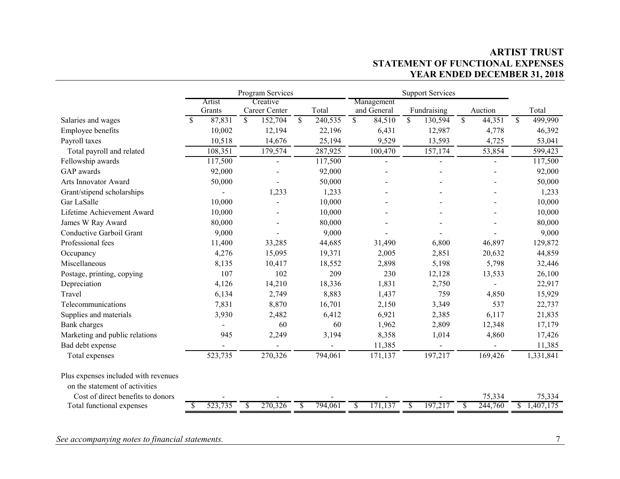## **ARTIST TRUST STATEMENT OF FUNCTIONAL EXPENSES YEAR ENDED DECEMBER 31, 2018**

|                                      |               | Program Services |              |         | <b>Support Services</b>  |             |                          |                |              |         |    |           |
|--------------------------------------|---------------|------------------|--------------|---------|--------------------------|-------------|--------------------------|----------------|--------------|---------|----|-----------|
|                                      | Artist        | Creative         |              |         |                          | Management  |                          |                |              |         |    |           |
|                                      | Grants        | Career Center    |              | Total   |                          | and General |                          | Fundraising    |              | Auction |    | Total     |
| Salaries and wages                   | 87,831<br>\$. | \$<br>152,704    | $\mathbb{S}$ | 240,535 | \$                       | 84,510      | \$                       | 130,594        | $\mathbb{S}$ | 44,351  | \$ | 499,990   |
| Employee benefits                    | 10,002        | 12,194           |              | 22,196  |                          | 6,431       |                          | 12,987         |              | 4,778   |    | 46,392    |
| Payroll taxes                        | 10,518        | 14,676           |              | 25,194  |                          | 9,529       |                          | 13,593         |              | 4,725   |    | 53,041    |
| Total payroll and related            | 108,351       | 179,574          |              | 287,925 |                          | 100,470     |                          | 157,174        |              | 53,854  |    | 599,423   |
| Fellowship awards                    | 117,500       |                  |              | 117,500 |                          |             |                          | $\blacksquare$ |              |         |    | 117,500   |
| GAP awards                           | 92,000        |                  |              | 92,000  |                          |             |                          |                |              |         |    | 92,000    |
| <b>Arts Innovator Award</b>          | 50,000        |                  |              | 50,000  |                          |             |                          |                |              |         |    | 50,000    |
| Grant/stipend scholarships           |               | 1,233            |              | 1,233   |                          |             |                          |                |              |         |    | 1,233     |
| Gar LaSalle                          | 10,000        |                  |              | 10,000  |                          |             |                          |                |              |         |    | 10,000    |
| Lifetime Achievement Award           | 10,000        |                  |              | 10,000  |                          |             |                          |                |              |         |    | 10,000    |
| James W Ray Award                    | 80,000        |                  |              | 80,000  |                          |             |                          |                |              |         |    | 80,000    |
| Conductive Garboil Grant             | 9,000         |                  |              | 9,000   |                          |             |                          |                |              |         |    | 9,000     |
| Professional fees                    | 11,400        | 33,285           |              | 44,685  |                          | 31,490      |                          | 6,800          |              | 46,897  |    | 129,872   |
| Occupancy                            | 4,276         | 15,095           |              | 19,371  |                          | 2,005       |                          | 2,851          |              | 20,632  |    | 44,859    |
| Miscellaneous                        | 8,135         | 10,417           |              | 18,552  |                          | 2,898       |                          | 5,198          |              | 5,798   |    | 32,446    |
| Postage, printing, copying           | 107           | 102              |              | 209     |                          | 230         |                          | 12,128         |              | 13,533  |    | 26,100    |
| Depreciation                         | 4,126         | 14,210           |              | 18,336  |                          | 1,831       |                          | 2,750          |              |         |    | 22,917    |
| Travel                               | 6,134         | 2,749            |              | 8,883   |                          | 1,437       |                          | 759            |              | 4,850   |    | 15,929    |
| Telecommunications                   | 7,831         | 8,870            |              | 16,701  |                          | 2,150       |                          | 3,349          |              | 537     |    | 22,737    |
| Supplies and materials               | 3,930         | 2,482            |              | 6,412   |                          | 6,921       |                          | 2,385          |              | 6,117   |    | 21,835    |
| Bank charges                         |               | 60               |              | 60      |                          | 1,962       |                          | 2,809          |              | 12,348  |    | 17,179    |
| Marketing and public relations       | 945           | 2,249            |              | 3,194   |                          | 8,358       |                          | 1,014          |              | 4,860   |    | 17,426    |
| Bad debt expense                     |               |                  |              |         |                          | 11,385      |                          |                |              |         |    | 11,385    |
| Total expenses                       | 523,735       | 270,326          |              | 794,061 |                          | 171,137     |                          | 197,217        |              | 169,426 |    | 1,331,841 |
| Plus expenses included with revenues |               |                  |              |         |                          |             |                          |                |              |         |    |           |
| on the statement of activities       |               |                  |              |         |                          |             |                          |                |              |         |    |           |
| Cost of direct benefits to donors    |               |                  |              |         |                          |             |                          |                |              | 75,334  |    | 75,334    |
| Total functional expenses            | 523,735<br>\$ | 270,326<br>\$    | \$           | 794,061 | $\overline{\mathcal{S}}$ | 171,137     | $\overline{\mathcal{S}}$ | 197,217        | \$           | 244,760 | S. | 1,407,175 |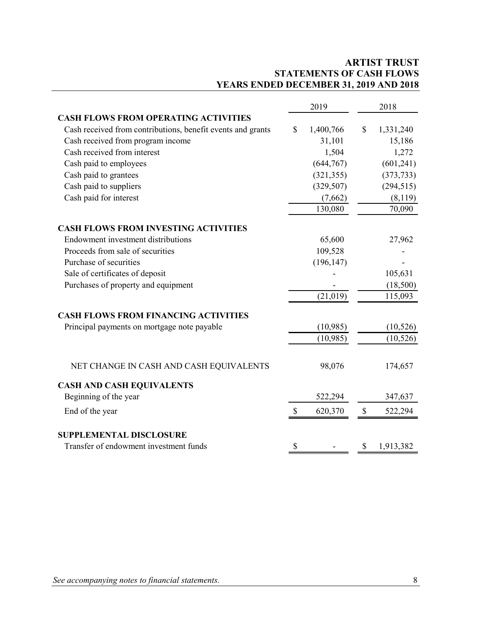## **ARTIST TRUST STATEMENTS OF CASH FLOWS YEARS ENDED DECEMBER 31, 2019 AND 2018**

|                                                             |              | 2019       |                           | 2018       |
|-------------------------------------------------------------|--------------|------------|---------------------------|------------|
| <b>CASH FLOWS FROM OPERATING ACTIVITIES</b>                 |              |            |                           |            |
| Cash received from contributions, benefit events and grants | \$           | 1,400,766  | \$                        | 1,331,240  |
| Cash received from program income                           |              | 31,101     |                           | 15,186     |
| Cash received from interest                                 |              | 1,504      |                           | 1,272      |
| Cash paid to employees                                      |              | (644, 767) |                           | (601, 241) |
| Cash paid to grantees                                       |              | (321, 355) |                           | (373, 733) |
| Cash paid to suppliers                                      |              | (329, 507) |                           | (294, 515) |
| Cash paid for interest                                      |              | (7,662)    |                           | (8, 119)   |
|                                                             |              | 130,080    |                           | 70,090     |
| <b>CASH FLOWS FROM INVESTING ACTIVITIES</b>                 |              |            |                           |            |
| Endowment investment distributions                          |              | 65,600     |                           | 27,962     |
| Proceeds from sale of securities                            |              | 109,528    |                           |            |
| Purchase of securities                                      |              | (196, 147) |                           |            |
| Sale of certificates of deposit                             |              |            |                           | 105,631    |
| Purchases of property and equipment                         |              |            |                           | (18,500)   |
|                                                             |              | (21, 019)  |                           | 115,093    |
| <b>CASH FLOWS FROM FINANCING ACTIVITIES</b>                 |              |            |                           |            |
| Principal payments on mortgage note payable                 |              | (10,985)   |                           | (10, 526)  |
|                                                             |              | (10, 985)  |                           | (10, 526)  |
| NET CHANGE IN CASH AND CASH EQUIVALENTS                     |              | 98,076     |                           | 174,657    |
| <b>CASH AND CASH EQUIVALENTS</b>                            |              |            |                           |            |
| Beginning of the year                                       |              | 522,294    |                           | 347,637    |
| End of the year                                             | $\mathbb{S}$ | 620,370    | $\boldsymbol{\mathsf{S}}$ | 522,294    |
| <b>SUPPLEMENTAL DISCLOSURE</b>                              |              |            |                           |            |
| Transfer of endowment investment funds                      | S            |            | S                         | 1,913,382  |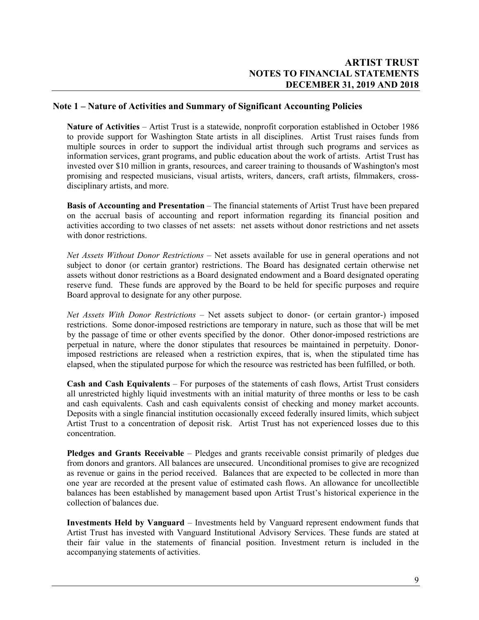#### **Note 1 – Nature of Activities and Summary of Significant Accounting Policies**

**Nature of Activities** – Artist Trust is a statewide, nonprofit corporation established in October 1986 to provide support for Washington State artists in all disciplines. Artist Trust raises funds from multiple sources in order to support the individual artist through such programs and services as information services, grant programs, and public education about the work of artists. Artist Trust has invested over \$10 million in grants, resources, and career training to thousands of Washington's most promising and respected musicians, visual artists, writers, dancers, craft artists, filmmakers, crossdisciplinary artists, and more.

**Basis of Accounting and Presentation** – The financial statements of Artist Trust have been prepared on the accrual basis of accounting and report information regarding its financial position and activities according to two classes of net assets: net assets without donor restrictions and net assets with donor restrictions.

*Net Assets Without Donor Restrictions* – Net assets available for use in general operations and not subject to donor (or certain grantor) restrictions. The Board has designated certain otherwise net assets without donor restrictions as a Board designated endowment and a Board designated operating reserve fund. These funds are approved by the Board to be held for specific purposes and require Board approval to designate for any other purpose.

*Net Assets With Donor Restrictions* – Net assets subject to donor- (or certain grantor-) imposed restrictions. Some donor-imposed restrictions are temporary in nature, such as those that will be met by the passage of time or other events specified by the donor. Other donor-imposed restrictions are perpetual in nature, where the donor stipulates that resources be maintained in perpetuity. Donorimposed restrictions are released when a restriction expires, that is, when the stipulated time has elapsed, when the stipulated purpose for which the resource was restricted has been fulfilled, or both.

**Cash and Cash Equivalents** – For purposes of the statements of cash flows, Artist Trust considers all unrestricted highly liquid investments with an initial maturity of three months or less to be cash and cash equivalents. Cash and cash equivalents consist of checking and money market accounts. Deposits with a single financial institution occasionally exceed federally insured limits, which subject Artist Trust to a concentration of deposit risk. Artist Trust has not experienced losses due to this concentration.

**Pledges and Grants Receivable** – Pledges and grants receivable consist primarily of pledges due from donors and grantors. All balances are unsecured. Unconditional promises to give are recognized as revenue or gains in the period received. Balances that are expected to be collected in more than one year are recorded at the present value of estimated cash flows. An allowance for uncollectible balances has been established by management based upon Artist Trust's historical experience in the collection of balances due.

**Investments Held by Vanguard** – Investments held by Vanguard represent endowment funds that Artist Trust has invested with Vanguard Institutional Advisory Services. These funds are stated at their fair value in the statements of financial position. Investment return is included in the accompanying statements of activities.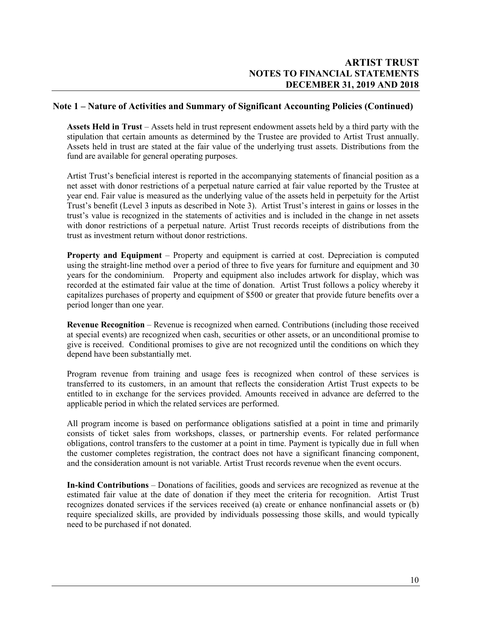#### **Note 1 – Nature of Activities and Summary of Significant Accounting Policies (Continued)**

**Assets Held in Trust** – Assets held in trust represent endowment assets held by a third party with the stipulation that certain amounts as determined by the Trustee are provided to Artist Trust annually. Assets held in trust are stated at the fair value of the underlying trust assets. Distributions from the fund are available for general operating purposes.

Artist Trust's beneficial interest is reported in the accompanying statements of financial position as a net asset with donor restrictions of a perpetual nature carried at fair value reported by the Trustee at year end. Fair value is measured as the underlying value of the assets held in perpetuity for the Artist Trust's benefit (Level 3 inputs as described in Note 3). Artist Trust's interest in gains or losses in the trust's value is recognized in the statements of activities and is included in the change in net assets with donor restrictions of a perpetual nature. Artist Trust records receipts of distributions from the trust as investment return without donor restrictions.

**Property and Equipment** – Property and equipment is carried at cost. Depreciation is computed using the straight-line method over a period of three to five years for furniture and equipment and 30 years for the condominium. Property and equipment also includes artwork for display, which was recorded at the estimated fair value at the time of donation. Artist Trust follows a policy whereby it capitalizes purchases of property and equipment of \$500 or greater that provide future benefits over a period longer than one year.

**Revenue Recognition** – Revenue is recognized when earned. Contributions (including those received at special events) are recognized when cash, securities or other assets, or an unconditional promise to give is received. Conditional promises to give are not recognized until the conditions on which they depend have been substantially met.

Program revenue from training and usage fees is recognized when control of these services is transferred to its customers, in an amount that reflects the consideration Artist Trust expects to be entitled to in exchange for the services provided. Amounts received in advance are deferred to the applicable period in which the related services are performed.

All program income is based on performance obligations satisfied at a point in time and primarily consists of ticket sales from workshops, classes, or partnership events. For related performance obligations, control transfers to the customer at a point in time. Payment is typically due in full when the customer completes registration, the contract does not have a significant financing component, and the consideration amount is not variable. Artist Trust records revenue when the event occurs.

**In-kind Contributions** – Donations of facilities, goods and services are recognized as revenue at the estimated fair value at the date of donation if they meet the criteria for recognition. Artist Trust recognizes donated services if the services received (a) create or enhance nonfinancial assets or (b) require specialized skills, are provided by individuals possessing those skills, and would typically need to be purchased if not donated.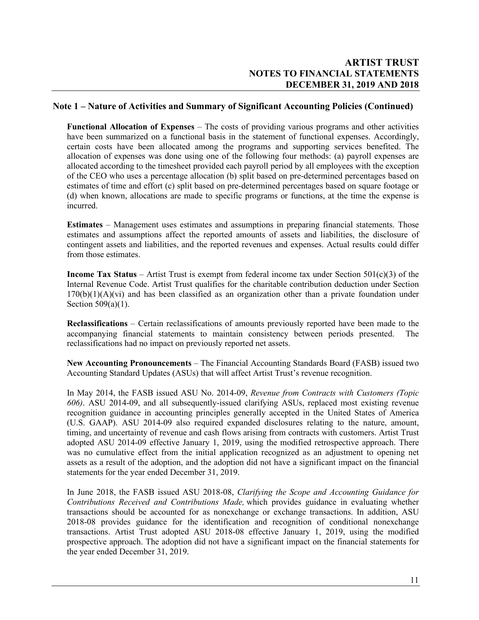#### **Note 1 – Nature of Activities and Summary of Significant Accounting Policies (Continued)**

**Functional Allocation of Expenses** – The costs of providing various programs and other activities have been summarized on a functional basis in the statement of functional expenses. Accordingly, certain costs have been allocated among the programs and supporting services benefited. The allocation of expenses was done using one of the following four methods: (a) payroll expenses are allocated according to the timesheet provided each payroll period by all employees with the exception of the CEO who uses a percentage allocation (b) split based on pre-determined percentages based on estimates of time and effort (c) split based on pre-determined percentages based on square footage or (d) when known, allocations are made to specific programs or functions, at the time the expense is incurred.

**Estimates** – Management uses estimates and assumptions in preparing financial statements. Those estimates and assumptions affect the reported amounts of assets and liabilities, the disclosure of contingent assets and liabilities, and the reported revenues and expenses. Actual results could differ from those estimates.

**Income Tax Status** – Artist Trust is exempt from federal income tax under Section 501(c)(3) of the Internal Revenue Code. Artist Trust qualifies for the charitable contribution deduction under Section  $170(b)(1)(A)(vi)$  and has been classified as an organization other than a private foundation under Section 509(a)(1).

**Reclassifications** – Certain reclassifications of amounts previously reported have been made to the accompanying financial statements to maintain consistency between periods presented. The reclassifications had no impact on previously reported net assets.

**New Accounting Pronouncements** – The Financial Accounting Standards Board (FASB) issued two Accounting Standard Updates (ASUs) that will affect Artist Trust's revenue recognition.

In May 2014, the FASB issued ASU No. 2014-09, *Revenue from Contracts with Customers (Topic 606)*. ASU 2014-09, and all subsequently-issued clarifying ASUs, replaced most existing revenue recognition guidance in accounting principles generally accepted in the United States of America (U.S. GAAP). ASU 2014-09 also required expanded disclosures relating to the nature, amount, timing, and uncertainty of revenue and cash flows arising from contracts with customers. Artist Trust adopted ASU 2014-09 effective January 1, 2019, using the modified retrospective approach. There was no cumulative effect from the initial application recognized as an adjustment to opening net assets as a result of the adoption, and the adoption did not have a significant impact on the financial statements for the year ended December 31, 2019.

In June 2018, the FASB issued ASU 2018-08, *Clarifying the Scope and Accounting Guidance for Contributions Received and Contributions Made,* which provides guidance in evaluating whether transactions should be accounted for as nonexchange or exchange transactions. In addition, ASU 2018-08 provides guidance for the identification and recognition of conditional nonexchange transactions. Artist Trust adopted ASU 2018-08 effective January 1, 2019, using the modified prospective approach. The adoption did not have a significant impact on the financial statements for the year ended December 31, 2019.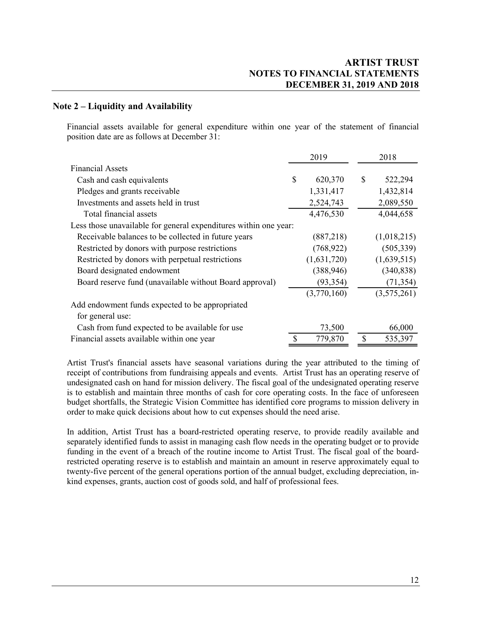#### **Note 2 – Liquidity and Availability**

Financial assets available for general expenditure within one year of the statement of financial position date are as follows at December 31:

|                                                                  | 2019          |    | 2018        |
|------------------------------------------------------------------|---------------|----|-------------|
| <b>Financial Assets</b>                                          |               |    |             |
| Cash and cash equivalents                                        | \$<br>620,370 | S  | 522,294     |
| Pledges and grants receivable                                    | 1,331,417     |    | 1,432,814   |
| Investments and assets held in trust                             | 2,524,743     |    | 2,089,550   |
| Total financial assets                                           | 4,476,530     |    | 4,044,658   |
| Less those unavailable for general expenditures within one year: |               |    |             |
| Receivable balances to be collected in future years              | (887,218)     |    | (1,018,215) |
| Restricted by donors with purpose restrictions                   | (768, 922)    |    | (505, 339)  |
| Restricted by donors with perpetual restrictions                 | (1,631,720)   |    | (1,639,515) |
| Board designated endowment                                       | (388, 946)    |    | (340, 838)  |
| Board reserve fund (unavailable without Board approval)          | (93, 354)     |    | (71, 354)   |
|                                                                  | (3,770,160)   |    | (3,575,261) |
| Add endowment funds expected to be appropriated                  |               |    |             |
| for general use:                                                 |               |    |             |
| Cash from fund expected to be available for use                  | 73,500        |    | 66,000      |
| Financial assets available within one year                       | \$<br>779,870 | \$ | 535,397     |

Artist Trust's financial assets have seasonal variations during the year attributed to the timing of receipt of contributions from fundraising appeals and events. Artist Trust has an operating reserve of undesignated cash on hand for mission delivery. The fiscal goal of the undesignated operating reserve is to establish and maintain three months of cash for core operating costs. In the face of unforeseen budget shortfalls, the Strategic Vision Committee has identified core programs to mission delivery in order to make quick decisions about how to cut expenses should the need arise.

In addition, Artist Trust has a board-restricted operating reserve, to provide readily available and separately identified funds to assist in managing cash flow needs in the operating budget or to provide funding in the event of a breach of the routine income to Artist Trust. The fiscal goal of the boardrestricted operating reserve is to establish and maintain an amount in reserve approximately equal to twenty-five percent of the general operations portion of the annual budget, excluding depreciation, inkind expenses, grants, auction cost of goods sold, and half of professional fees.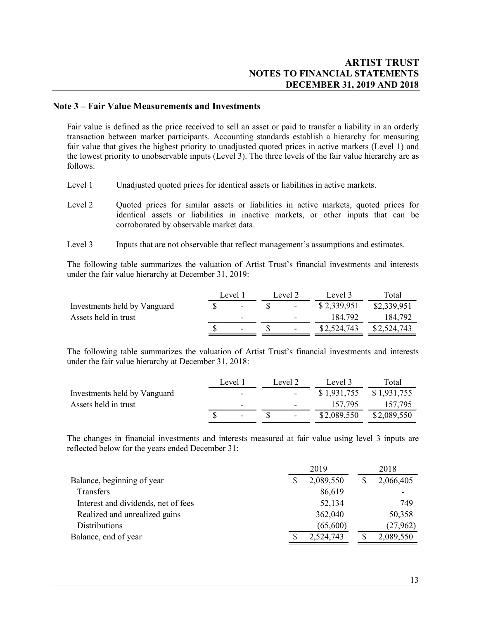### **Note 3 – Fair Value Measurements and Investments**

Fair value is defined as the price received to sell an asset or paid to transfer a liability in an orderly transaction between market participants. Accounting standards establish a hierarchy for measuring fair value that gives the highest priority to unadjusted quoted prices in active markets (Level 1) and the lowest priority to unobservable inputs (Level 3). The three levels of the fair value hierarchy are as follows:

- Level 1 Unadjusted quoted prices for identical assets or liabilities in active markets.
- Level 2 Quoted prices for similar assets or liabilities in active markets, quoted prices for identical assets or liabilities in inactive markets, or other inputs that can be corroborated by observable market data.
- Level 3 Inputs that are not observable that reflect management's assumptions and estimates.

The following table summarizes the valuation of Artist Trust's financial investments and interests under the fair value hierarchy at December 31, 2019:

|                              | Level 1                  | Level 2                  | Level 3     | Fotal       |
|------------------------------|--------------------------|--------------------------|-------------|-------------|
| Investments held by Vanguard | $\sim$                   | $\sim$ $\sim$            | \$2,339,951 | \$2,339,951 |
| Assets held in trust         | -                        | $\overline{\phantom{a}}$ | 184.792     | 184.792     |
|                              | $\overline{\phantom{0}}$ | $\overline{\phantom{a}}$ | \$2,524,743 | \$2,524,743 |

The following table summarizes the valuation of Artist Trust's financial investments and interests under the fair value hierarchy at December 31, 2018:

|                              | Level 1 |                          | Level 2                  | Level 3     | Fotal       |
|------------------------------|---------|--------------------------|--------------------------|-------------|-------------|
| Investments held by Vanguard |         | $\overline{\phantom{0}}$ |                          | \$1,931,755 | \$1,931,755 |
| Assets held in trust         |         | -                        | $\overline{\phantom{a}}$ | 157.795     | 157,795     |
|                              |         | $\overline{\phantom{0}}$ | $\overline{\phantom{a}}$ | \$2,089,550 | \$2,089,550 |

The changes in financial investments and interests measured at fair value using level 3 inputs are reflected below for the years ended December 31:

|                                     | 2019      | 2018      |
|-------------------------------------|-----------|-----------|
| Balance, beginning of year<br>S     | 2,089,550 | 2,066,405 |
| Transfers                           | 86,619    |           |
| Interest and dividends, net of fees | 52,134    | 749       |
| Realized and unrealized gains       | 362,040   | 50,358    |
| <b>Distributions</b>                | (65,600)  | (27, 962) |
| Balance, end of year                | 2,524,743 | 2,089,550 |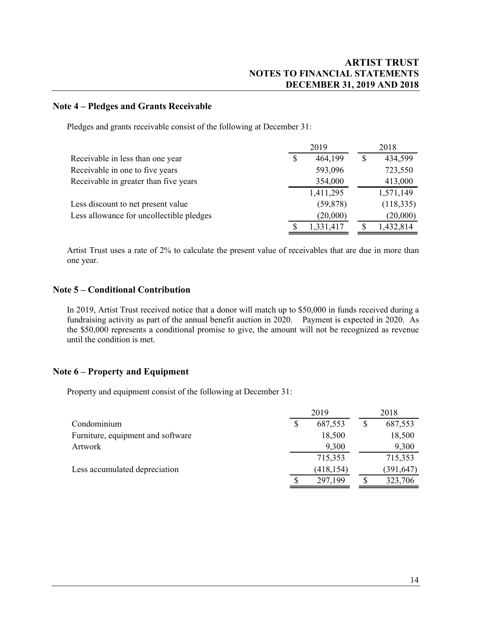#### **Note 4 – Pledges and Grants Receivable**

Pledges and grants receivable consist of the following at December 31:

|                                          | 2019          | 2018       |
|------------------------------------------|---------------|------------|
| Receivable in less than one year         | \$<br>464,199 | 434,599    |
| Receivable in one to five years          | 593,096       | 723,550    |
| Receivable in greater than five years    | 354,000       | 413,000    |
|                                          | 1,411,295     | 1,571,149  |
| Less discount to net present value       | (59, 878)     | (118, 335) |
| Less allowance for uncollectible pledges | (20,000)      | (20,000)   |
|                                          | 1,331,417     | 1,432,814  |

Artist Trust uses a rate of 2% to calculate the present value of receivables that are due in more than one year.

### **Note 5 – Conditional Contribution**

In 2019, Artist Trust received notice that a donor will match up to \$50,000 in funds received during a fundraising activity as part of the annual benefit auction in 2020. Payment is expected in 2020. As the \$50,000 represents a conditional promise to give, the amount will not be recognized as revenue until the condition is met.

### **Note 6 – Property and Equipment**

Property and equipment consist of the following at December 31:

|                                   |     | 2018       |  |            |
|-----------------------------------|-----|------------|--|------------|
| Condominium                       | \$  | 687,553    |  | 687,553    |
| Furniture, equipment and software |     | 18,500     |  | 18,500     |
| Artwork                           |     | 9,300      |  | 9,300      |
|                                   |     | 715,353    |  | 715,353    |
| Less accumulated depreciation     |     | (418, 154) |  | (391, 647) |
|                                   | \$. | 297,199    |  | 323,706    |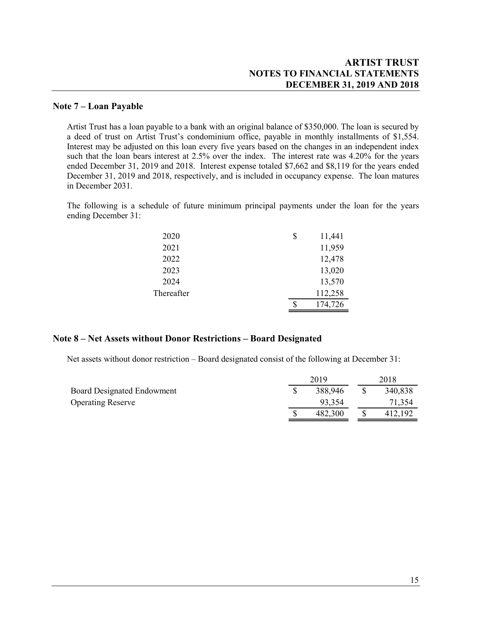### **ARTIST TRUST NOTES TO FINANCIAL STATEMENTS DECEMBER 31, 2019 AND 2018**

#### **Note 7 – Loan Payable**

Artist Trust has a loan payable to a bank with an original balance of \$350,000. The loan is secured by a deed of trust on Artist Trust's condominium office, payable in monthly installments of \$1,554. Interest may be adjusted on this loan every five years based on the changes in an independent index such that the loan bears interest at 2.5% over the index. The interest rate was 4.20% for the years ended December 31, 2019 and 2018. Interest expense totaled \$7,662 and \$8,119 for the years ended December 31, 2019 and 2018, respectively, and is included in occupancy expense. The loan matures in December 2031.

The following is a schedule of future minimum principal payments under the loan for the years ending December 31:

| 2020       | 11,441  |
|------------|---------|
| 2021       | 11,959  |
| 2022       | 12,478  |
| 2023       | 13,020  |
| 2024       | 13,570  |
| Thereafter | 112,258 |
|            | 174,726 |

#### **Note 8 – Net Assets without Donor Restrictions – Board Designated**

Net assets without donor restriction – Board designated consist of the following at December 31:

|                                   |  | 2018    |         |  |
|-----------------------------------|--|---------|---------|--|
| <b>Board Designated Endowment</b> |  | 388,946 | 340,838 |  |
| <b>Operating Reserve</b>          |  | 93.354  | 71,354  |  |
|                                   |  | 482.300 | 412,192 |  |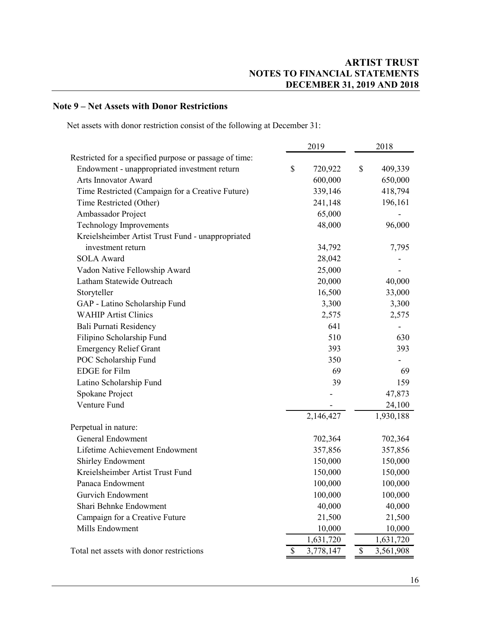## **Note 9 – Net Assets with Donor Restrictions**

Net assets with donor restriction consist of the following at December 31:

|                                                        | 2019 |           | 2018            |  |
|--------------------------------------------------------|------|-----------|-----------------|--|
| Restricted for a specified purpose or passage of time: |      |           |                 |  |
| Endowment - unappropriated investment return           | \$   | 720,922   | \$<br>409,339   |  |
| Arts Innovator Award                                   |      | 600,000   | 650,000         |  |
| Time Restricted (Campaign for a Creative Future)       |      | 339,146   | 418,794         |  |
| Time Restricted (Other)                                |      | 241,148   | 196,161         |  |
| Ambassador Project                                     |      | 65,000    |                 |  |
| <b>Technology Improvements</b>                         |      | 48,000    | 96,000          |  |
| Kreielsheimber Artist Trust Fund - unappropriated      |      |           |                 |  |
| investment return                                      |      | 34,792    | 7,795           |  |
| <b>SOLA Award</b>                                      |      | 28,042    |                 |  |
| Vadon Native Fellowship Award                          |      | 25,000    |                 |  |
| Latham Statewide Outreach                              |      | 20,000    | 40,000          |  |
| Storyteller                                            |      | 16,500    | 33,000          |  |
| GAP - Latino Scholarship Fund                          |      | 3,300     | 3,300           |  |
| <b>WAHIP Artist Clinics</b>                            |      | 2,575     | 2,575           |  |
| Bali Purnati Residency                                 |      | 641       |                 |  |
| Filipino Scholarship Fund                              |      | 510       | 630             |  |
| <b>Emergency Relief Grant</b>                          |      | 393       | 393             |  |
| POC Scholarship Fund                                   |      | 350       |                 |  |
| <b>EDGE</b> for Film                                   |      | 69        | 69              |  |
| Latino Scholarship Fund                                |      | 39        | 159             |  |
| Spokane Project                                        |      |           | 47,873          |  |
| Venture Fund                                           |      |           | 24,100          |  |
|                                                        |      | 2,146,427 | 1,930,188       |  |
| Perpetual in nature:                                   |      |           |                 |  |
| General Endowment                                      |      | 702,364   | 702,364         |  |
| Lifetime Achievement Endowment                         |      | 357,856   | 357,856         |  |
| <b>Shirley Endowment</b>                               |      | 150,000   | 150,000         |  |
| Kreielsheimber Artist Trust Fund                       |      | 150,000   | 150,000         |  |
| Panaca Endowment                                       |      | 100,000   | 100,000         |  |
| <b>Gurvich Endowment</b>                               |      | 100,000   | 100,000         |  |
| Shari Behnke Endowment                                 |      | 40,000    | 40,000          |  |
| Campaign for a Creative Future                         |      | 21,500    | 21,500          |  |
| Mills Endowment                                        |      | 10,000    | 10,000          |  |
|                                                        |      | 1,631,720 | 1,631,720       |  |
| Total net assets with donor restrictions               | \$   | 3,778,147 | \$<br>3,561,908 |  |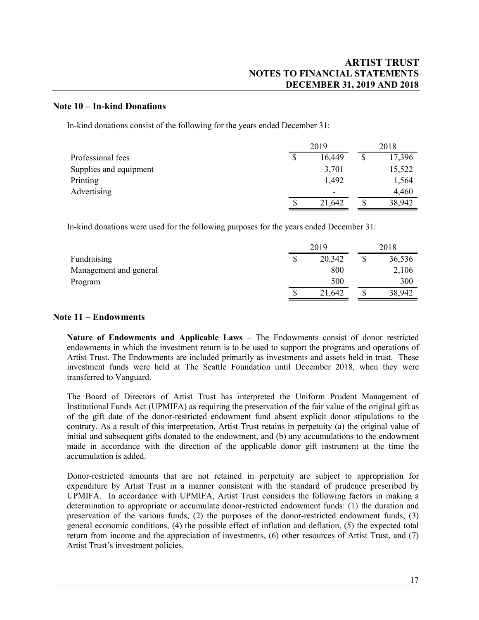#### **Note 10 – In-kind Donations**

In-kind donations consist of the following for the years ended December 31:

|                        | 2019                     |   |        |  |
|------------------------|--------------------------|---|--------|--|
| Professional fees      | \$<br>16,449             | ¢ | 17,396 |  |
| Supplies and equipment | 3,701                    |   | 15,522 |  |
| Printing               | 1,492                    |   | 1,564  |  |
| Advertising            | $\overline{\phantom{0}}$ |   | 4,460  |  |
|                        | \$<br>21,642             |   | 38,942 |  |

In-kind donations were used for the following purposes for the years ended December 31:

|                        | 2019 |        |  |        |
|------------------------|------|--------|--|--------|
| Fundraising            | \$   | 20,342 |  | 36,536 |
| Management and general |      | 800    |  | 2,106  |
| Program                |      | 500    |  | 300    |
|                        |      | 21,642 |  | 38,942 |

#### **Note 11 – Endowments**

**Nature of Endowments and Applicable Laws** – The Endowments consist of donor restricted endowments in which the investment return is to be used to support the programs and operations of Artist Trust. The Endowments are included primarily as investments and assets held in trust. These investment funds were held at The Seattle Foundation until December 2018, when they were transferred to Vanguard.

The Board of Directors of Artist Trust has interpreted the Uniform Prudent Management of Institutional Funds Act (UPMIFA) as requiring the preservation of the fair value of the original gift as of the gift date of the donor-restricted endowment fund absent explicit donor stipulations to the contrary. As a result of this interpretation, Artist Trust retains in perpetuity (a) the original value of initial and subsequent gifts donated to the endowment, and (b) any accumulations to the endowment made in accordance with the direction of the applicable donor gift instrument at the time the accumulation is added.

Donor-restricted amounts that are not retained in perpetuity are subject to appropriation for expenditure by Artist Trust in a manner consistent with the standard of prudence prescribed by UPMIFA. In accordance with UPMIFA, Artist Trust considers the following factors in making a determination to appropriate or accumulate donor-restricted endowment funds: (1) the duration and preservation of the various funds, (2) the purposes of the donor-restricted endowment funds, (3) general economic conditions, (4) the possible effect of inflation and deflation, (5) the expected total return from income and the appreciation of investments, (6) other resources of Artist Trust, and (7) Artist Trust's investment policies.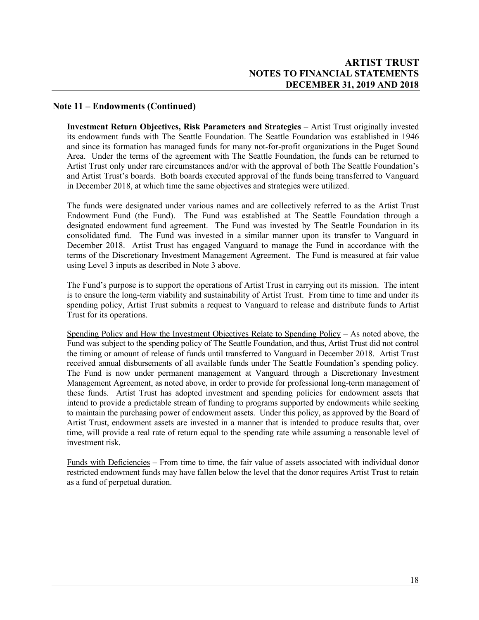### **Note 11 – Endowments (Continued)**

**Investment Return Objectives, Risk Parameters and Strategies** – Artist Trust originally invested its endowment funds with The Seattle Foundation. The Seattle Foundation was established in 1946 and since its formation has managed funds for many not-for-profit organizations in the Puget Sound Area. Under the terms of the agreement with The Seattle Foundation, the funds can be returned to Artist Trust only under rare circumstances and/or with the approval of both The Seattle Foundation's and Artist Trust's boards. Both boards executed approval of the funds being transferred to Vanguard in December 2018, at which time the same objectives and strategies were utilized.

The funds were designated under various names and are collectively referred to as the Artist Trust Endowment Fund (the Fund). The Fund was established at The Seattle Foundation through a designated endowment fund agreement. The Fund was invested by The Seattle Foundation in its consolidated fund. The Fund was invested in a similar manner upon its transfer to Vanguard in December 2018. Artist Trust has engaged Vanguard to manage the Fund in accordance with the terms of the Discretionary Investment Management Agreement. The Fund is measured at fair value using Level 3 inputs as described in Note 3 above.

The Fund's purpose is to support the operations of Artist Trust in carrying out its mission. The intent is to ensure the long-term viability and sustainability of Artist Trust. From time to time and under its spending policy, Artist Trust submits a request to Vanguard to release and distribute funds to Artist Trust for its operations.

Spending Policy and How the Investment Objectives Relate to Spending Policy – As noted above, the Fund was subject to the spending policy of The Seattle Foundation, and thus, Artist Trust did not control the timing or amount of release of funds until transferred to Vanguard in December 2018. Artist Trust received annual disbursements of all available funds under The Seattle Foundation's spending policy. The Fund is now under permanent management at Vanguard through a Discretionary Investment Management Agreement, as noted above, in order to provide for professional long-term management of these funds. Artist Trust has adopted investment and spending policies for endowment assets that intend to provide a predictable stream of funding to programs supported by endowments while seeking to maintain the purchasing power of endowment assets. Under this policy, as approved by the Board of Artist Trust, endowment assets are invested in a manner that is intended to produce results that, over time, will provide a real rate of return equal to the spending rate while assuming a reasonable level of investment risk.

Funds with Deficiencies – From time to time, the fair value of assets associated with individual donor restricted endowment funds may have fallen below the level that the donor requires Artist Trust to retain as a fund of perpetual duration.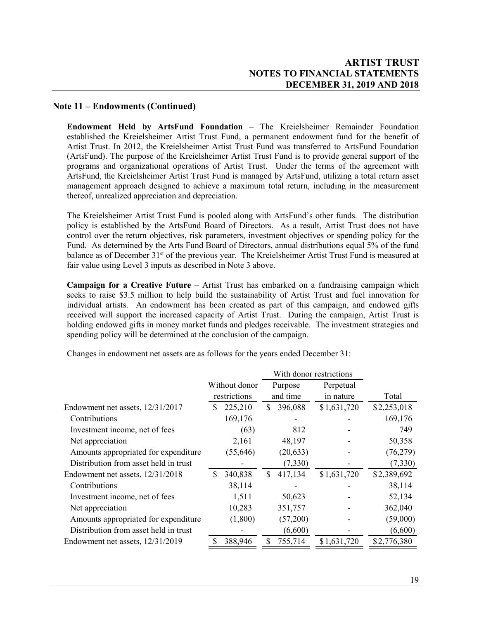#### **Note 11 – Endowments (Continued)**

**Endowment Held by ArtsFund Foundation** – The Kreielsheimer Remainder Foundation established the Kreielsheimer Artist Trust Fund, a permanent endowment fund for the benefit of Artist Trust. In 2012, the Kreielsheimer Artist Trust Fund was transferred to ArtsFund Foundation (ArtsFund). The purpose of the Kreielsheimer Artist Trust Fund is to provide general support of the programs and organizational operations of Artist Trust. Under the terms of the agreement with ArtsFund, the Kreielsheimer Artist Trust Fund is managed by ArtsFund, utilizing a total return asset management approach designed to achieve a maximum total return, including in the measurement thereof, unrealized appreciation and depreciation.

The Kreielsheimer Artist Trust Fund is pooled along with ArtsFund's other funds. The distribution policy is established by the ArtsFund Board of Directors. As a result, Artist Trust does not have control over the return objectives, risk parameters, investment objectives or spending policy for the Fund. As determined by the Arts Fund Board of Directors, annual distributions equal 5% of the fund balance as of December 31<sup>st</sup> of the previous year. The Kreielsheimer Artist Trust Fund is measured at fair value using Level 3 inputs as described in Note 3 above.

**Campaign for a Creative Future** – Artist Trust has embarked on a fundraising campaign which seeks to raise \$3.5 million to help build the sustainability of Artist Trust and fuel innovation for individual artists. An endowment has been created as part of this campaign, and endowed gifts received will support the increased capacity of Artist Trust. During the campaign, Artist Trust is holding endowed gifts in money market funds and pledges receivable. The investment strategies and spending policy will be determined at the conclusion of the campaign.

|                                       |   |               | With donor restrictions |                      |  |             |             |
|---------------------------------------|---|---------------|-------------------------|----------------------|--|-------------|-------------|
|                                       |   | Without donor |                         | Perpetual<br>Purpose |  |             |             |
|                                       |   | restrictions  |                         | and time             |  | in nature   | Total       |
| Endowment net assets, 12/31/2017      |   | 225,210       | \$                      | 396,088              |  | \$1,631,720 | \$2,253,018 |
| Contributions                         |   | 169,176       |                         |                      |  |             | 169,176     |
| Investment income, net of fees        |   | (63)          |                         | 812                  |  |             | 749         |
| Net appreciation                      |   | 2,161         |                         | 48,197               |  |             | 50,358      |
| Amounts appropriated for expenditure  |   | (55, 646)     |                         | (20, 633)            |  |             | (76, 279)   |
| Distribution from asset held in trust |   |               |                         | (7,330)              |  |             | (7,330)     |
| Endowment net assets, 12/31/2018      | S | 340,838       | \$                      | 417,134              |  | \$1,631,720 | \$2,389,692 |
| Contributions                         |   | 38,114        |                         |                      |  |             | 38,114      |
| Investment income, net of fees        |   | 1,511         |                         | 50,623               |  |             | 52,134      |
| Net appreciation                      |   | 10,283        |                         | 351,757              |  |             | 362,040     |
| Amounts appropriated for expenditure  |   | (1,800)       |                         | (57,200)             |  |             | (59,000)    |
| Distribution from asset held in trust |   |               |                         | (6,600)              |  |             | (6,600)     |
| Endowment net assets, 12/31/2019      |   | 388,946       |                         | 755,714              |  | \$1,631,720 | \$2,776,380 |

Changes in endowment net assets are as follows for the years ended December 31: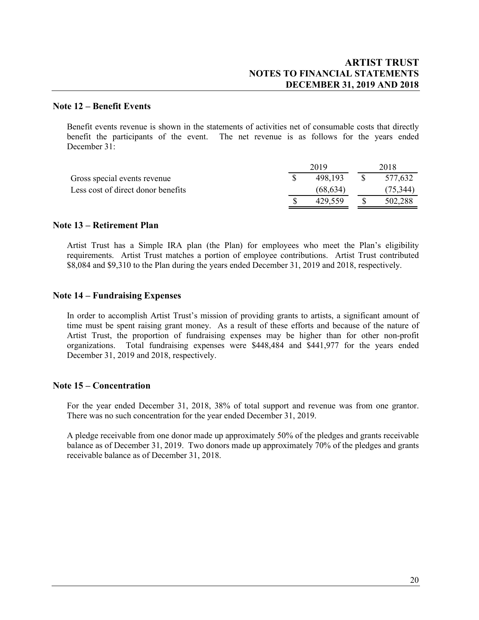#### **Note 12 – Benefit Events**

Benefit events revenue is shown in the statements of activities net of consumable costs that directly benefit the participants of the event. The net revenue is as follows for the years ended December 31:

|                                    | 2019 |           |  | 2018      |  |  |
|------------------------------------|------|-----------|--|-----------|--|--|
| Gross special events revenue       |      | 498.193   |  | 577,632   |  |  |
| Less cost of direct donor benefits |      | (68, 634) |  | (75, 344) |  |  |
|                                    |      | 429.559   |  | 502,288   |  |  |

#### **Note 13 – Retirement Plan**

Artist Trust has a Simple IRA plan (the Plan) for employees who meet the Plan's eligibility requirements. Artist Trust matches a portion of employee contributions. Artist Trust contributed \$8,084 and \$9,310 to the Plan during the years ended December 31, 2019 and 2018, respectively.

#### **Note 14 – Fundraising Expenses**

In order to accomplish Artist Trust's mission of providing grants to artists, a significant amount of time must be spent raising grant money. As a result of these efforts and because of the nature of Artist Trust, the proportion of fundraising expenses may be higher than for other non-profit organizations. Total fundraising expenses were \$448,484 and \$441,977 for the years ended December 31, 2019 and 2018, respectively.

#### **Note 15 – Concentration**

For the year ended December 31, 2018, 38% of total support and revenue was from one grantor. There was no such concentration for the year ended December 31, 2019.

A pledge receivable from one donor made up approximately 50% of the pledges and grants receivable balance as of December 31, 2019. Two donors made up approximately 70% of the pledges and grants receivable balance as of December 31, 2018.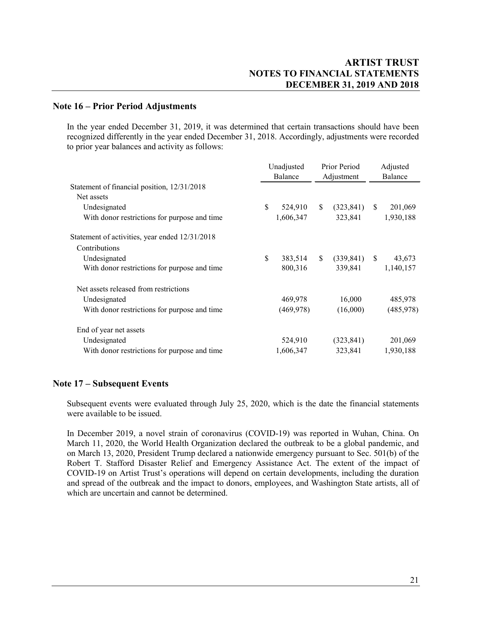#### **Note 16 – Prior Period Adjustments**

In the year ended December 31, 2019, it was determined that certain transactions should have been recognized differently in the year ended December 31, 2018. Accordingly, adjustments were recorded to prior year balances and activity as follows:

|                                                |    | Unadjusted<br>Balance | Prior Period<br>Adjustment |            | Adjusted<br>Balance |            |
|------------------------------------------------|----|-----------------------|----------------------------|------------|---------------------|------------|
| Statement of financial position, 12/31/2018    |    |                       |                            |            |                     |            |
| Net assets                                     |    |                       |                            |            |                     |            |
| Undesignated                                   | \$ | 524,910               | <sup>\$</sup>              | (323, 841) | <sup>\$</sup>       | 201,069    |
| With donor restrictions for purpose and time   |    | 1,606,347             |                            | 323,841    |                     | 1,930,188  |
| Statement of activities, year ended 12/31/2018 |    |                       |                            |            |                     |            |
| Contributions                                  |    |                       |                            |            |                     |            |
| Undesignated                                   | \$ | 383,514               | \$.                        | (339, 841) | -S                  | 43,673     |
| With donor restrictions for purpose and time   |    | 800,316               |                            | 339,841    |                     | 1,140,157  |
| Net assets released from restrictions          |    |                       |                            |            |                     |            |
| Undesignated                                   |    | 469,978               |                            | 16,000     |                     | 485,978    |
| With donor restrictions for purpose and time   |    | (469, 978)            |                            | (16,000)   |                     | (485, 978) |
| End of year net assets                         |    |                       |                            |            |                     |            |
| Undesignated                                   |    | 524,910               |                            | (323, 841) |                     | 201,069    |
| With donor restrictions for purpose and time   |    | 1,606,347             |                            | 323,841    |                     | 1,930,188  |

### **Note 17 – Subsequent Events**

Subsequent events were evaluated through July 25, 2020, which is the date the financial statements were available to be issued.

In December 2019, a novel strain of coronavirus (COVID-19) was reported in Wuhan, China. On March 11, 2020, the World Health Organization declared the outbreak to be a global pandemic, and on March 13, 2020, President Trump declared a nationwide emergency pursuant to Sec. 501(b) of the Robert T. Stafford Disaster Relief and Emergency Assistance Act. The extent of the impact of COVID-19 on Artist Trust's operations will depend on certain developments, including the duration and spread of the outbreak and the impact to donors, employees, and Washington State artists, all of which are uncertain and cannot be determined.